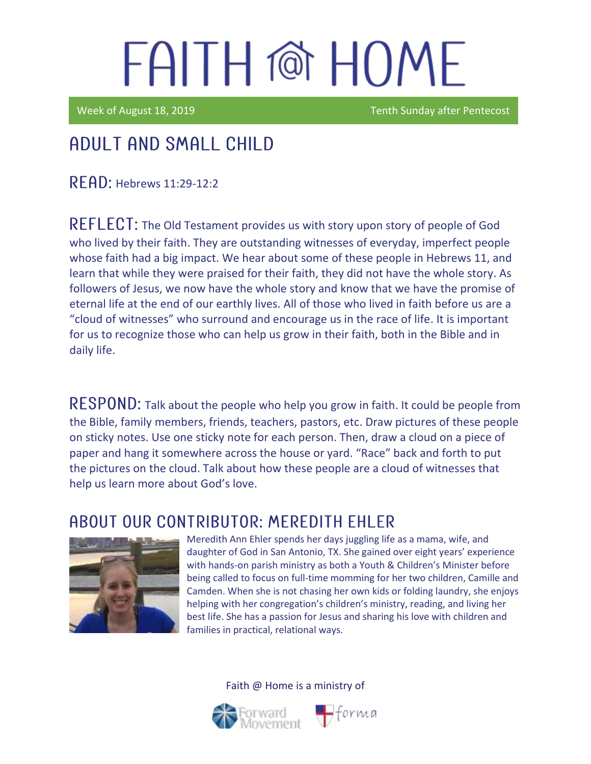Week of August 18, 2019 Tenth Sunday after Pentecost

### Adult and Small Child

**RFAD: Hebrews 11:29-12:2** 

REFLECT: The Old Testament provides us with story upon story of people of God who lived by their faith. They are outstanding witnesses of everyday, imperfect people whose faith had a big impact. We hear about some of these people in Hebrews 11, and learn that while they were praised for their faith, they did not have the whole story. As followers of Jesus, we now have the whole story and know that we have the promise of eternal life at the end of our earthly lives. All of those who lived in faith before us are a "cloud of witnesses" who surround and encourage us in the race of life. It is important for us to recognize those who can help us grow in their faith, both in the Bible and in daily life.

RESPOND: Talk about the people who help you grow in faith. It could be people from the Bible, family members, friends, teachers, pastors, etc. Draw pictures of these people on sticky notes. Use one sticky note for each person. Then, draw a cloud on a piece of paper and hang it somewhere across the house or yard. "Race" back and forth to put the pictures on the cloud. Talk about how these people are a cloud of witnesses that help us learn more about God's love.

#### ABOUT OUR CONTRIBUTOR: MEREDITH EHLER



Meredith Ann Ehler spends her days juggling life as a mama, wife, and daughter of God in San Antonio, TX. She gained over eight years' experience with hands-on parish ministry as both a Youth & Children's Minister before being called to focus on full-time momming for her two children, Camille and Camden. When she is not chasing her own kids or folding laundry, she enjoys helping with her congregation's children's ministry, reading, and living her best life. She has a passion for Jesus and sharing his love with children and families in practical, relational ways.





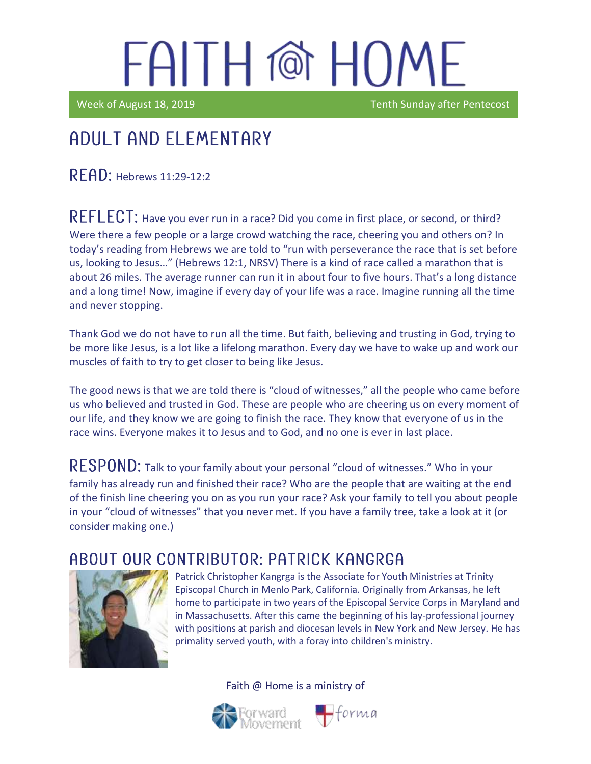Week of August 18, 2019 Tenth Sunday after Pentecost

### Adult and elementary

 $\mathsf{RFAD:}$  Hebrews 11:29-12:2

REFLECT: Have you ever run in a race? Did you come in first place, or second, or third? Were there a few people or a large crowd watching the race, cheering you and others on? In today's reading from Hebrews we are told to "run with perseverance the race that is set before us, looking to Jesus…" (Hebrews 12:1, NRSV) There is a kind of race called a marathon that is about 26 miles. The average runner can run it in about four to five hours. That's a long distance and a long time! Now, imagine if every day of your life was a race. Imagine running all the time and never stopping.

Thank God we do not have to run all the time. But faith, believing and trusting in God, trying to be more like Jesus, is a lot like a lifelong marathon. Every day we have to wake up and work our muscles of faith to try to get closer to being like Jesus.

The good news is that we are told there is "cloud of witnesses," all the people who came before us who believed and trusted in God. These are people who are cheering us on every moment of our life, and they know we are going to finish the race. They know that everyone of us in the race wins. Everyone makes it to Jesus and to God, and no one is ever in last place.

RESPOND: Talk to your family about your personal "cloud of witnesses." Who in your family has already run and finished their race? Who are the people that are waiting at the end of the finish line cheering you on as you run your race? Ask your family to tell you about people in your "cloud of witnesses" that you never met. If you have a family tree, take a look at it (or consider making one.)

### ABOUT OUR CONTRIBUTOR: PATRICK KANGRGA



Patrick Christopher Kangrga is the Associate for Youth Ministries at Trinity Episcopal Church in Menlo Park, California. Originally from Arkansas, he left home to participate in two years of the Episcopal Service Corps in Maryland and in Massachusetts. After this came the beginning of his lay-professional journey with positions at parish and diocesan levels in New York and New Jersey. He has primality served youth, with a foray into children's ministry.

Faith @ Home is a ministry of



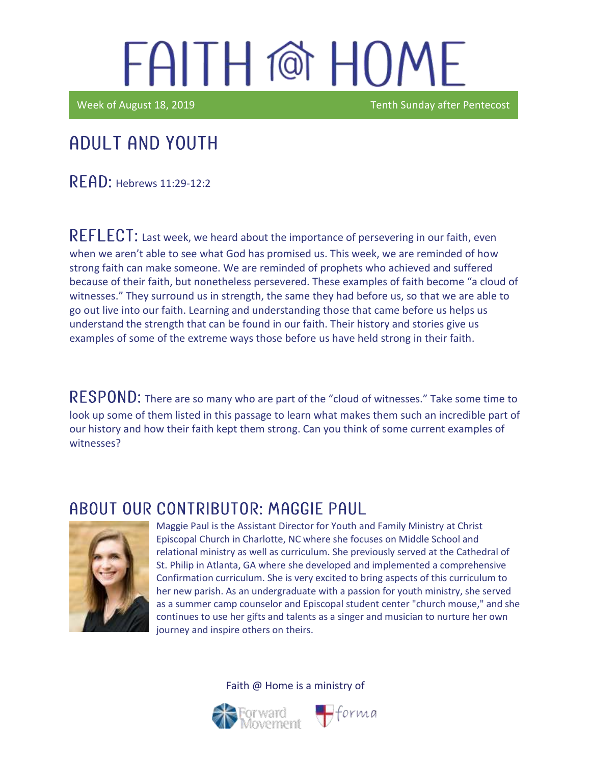Week of August 18, 2019 Tenth Sunday after Pentecost

#### Adult and youth

**RFAD: Hebrews 11:29-12:2** 

 $REFLECT:$  Last week, we heard about the importance of persevering in our faith, even when we aren't able to see what God has promised us. This week, we are reminded of how strong faith can make someone. We are reminded of prophets who achieved and suffered because of their faith, but nonetheless persevered. These examples of faith become "a cloud of witnesses." They surround us in strength, the same they had before us, so that we are able to go out live into our faith. Learning and understanding those that came before us helps us understand the strength that can be found in our faith. Their history and stories give us examples of some of the extreme ways those before us have held strong in their faith.

RESPOND: There are so many who are part of the "cloud of witnesses." Take some time to look up some of them listed in this passage to learn what makes them such an incredible part of our history and how their faith kept them strong. Can you think of some current examples of witnesses?

#### ABOUT OUR CONTRIBUTOR: MAGGIE PAUL



Maggie Paul is the Assistant Director for Youth and Family Ministry at Christ Episcopal Church in Charlotte, NC where she focuses on Middle School and relational ministry as well as curriculum. She previously served at the Cathedral of St. Philip in Atlanta, GA where she developed and implemented a comprehensive Confirmation curriculum. She is very excited to bring aspects of this curriculum to her new parish. As an undergraduate with a passion for youth ministry, she served as a summer camp counselor and Episcopal student center "church mouse," and she continues to use her gifts and talents as a singer and musician to nurture her own journey and inspire others on theirs.

 $\bigoplus$ forma